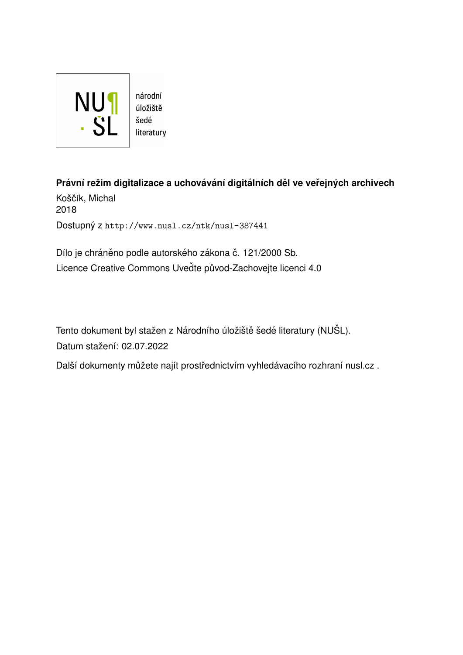

úložiště literatury

**Právní režim digitalizace a uchovávání digitálních děl ve veřejných archivech** Koščík, Michal 2018 Dostupný z <http://www.nusl.cz/ntk/nusl-387441>

Dílo je chráněno podle autorského zákona č. 121/2000 Sb. Licence Creative Commons Uvedte původ-Zachovejte licenci 4.0

Tento dokument byl stažen z Národního úložiště šedé literatury (NUŠL). Datum stažení: 02.07.2022

Další dokumenty můžete najít prostřednictvím vyhledávacího rozhraní [nusl.cz](http://www.nusl.cz) .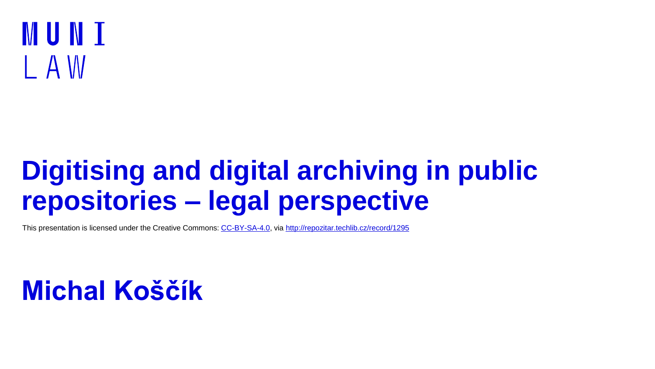## MUNI I A W

## **Digitising and digital archiving in public repositories – legal perspective**

This presentation is licensed under the Creative Commons: [CC-BY-SA-4.0,](https://creativecommons.org/licenses/by-sa/4.0/) via <http://repozitar.techlib.cz/record/1295>

### **Michal Koščík**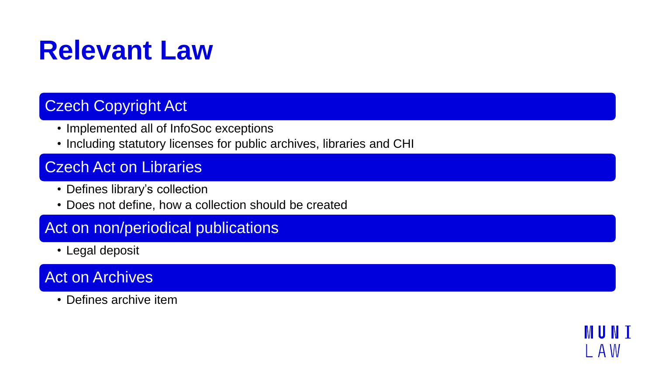## **Relevant Law**

#### Czech Copyright Act

- Implemented all of InfoSoc exceptions
- Including statutory licenses for public archives, libraries and CHI

IVI III N

A W

#### Czech Act on Libraries

- Defines library's collection
- Does not define, how a collection should be created

#### Act on non/periodical publications

• Legal deposit

#### Act on Archives

• Defines archive item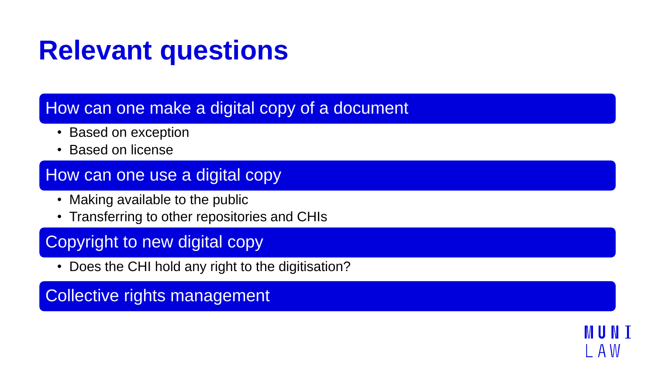## **Relevant questions**

#### How can one make a digital copy of a document

- Based on exception
- Based on license

#### How can one use a digital copy

- Making available to the public
- Transferring to other repositories and CHIs

### Copyright to new digital copy

• Does the CHI hold any right to the digitisation?

### Collective rights management

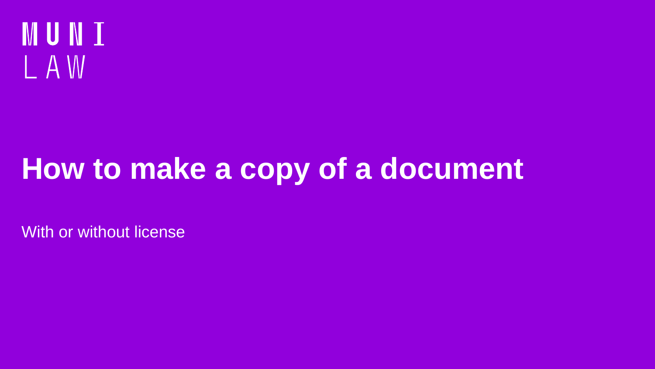

# **How to make a copy of a document**

With or without license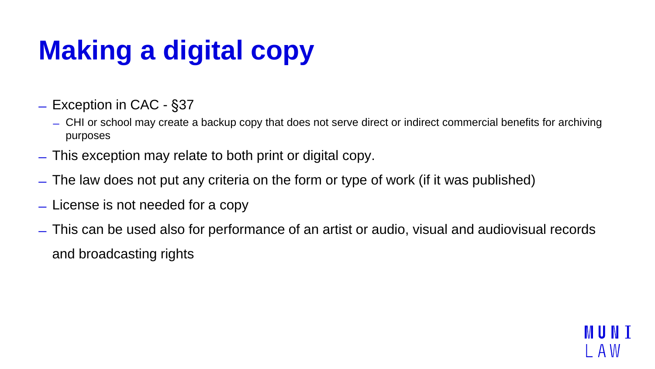# **Making a digital copy**

- ̶Exception in CAC §37
	- ̶ CHI or school may create a backup copy that does not serve direct or indirect commercial benefits for archiving purposes
- ̶This exception may relate to both print or digital copy.
- ̶The law does not put any criteria on the form or type of work (if it was published)
- ̶License is not needed for a copy
- ̶This can be used also for performance of an artist or audio, visual and audiovisual records and broadcasting rights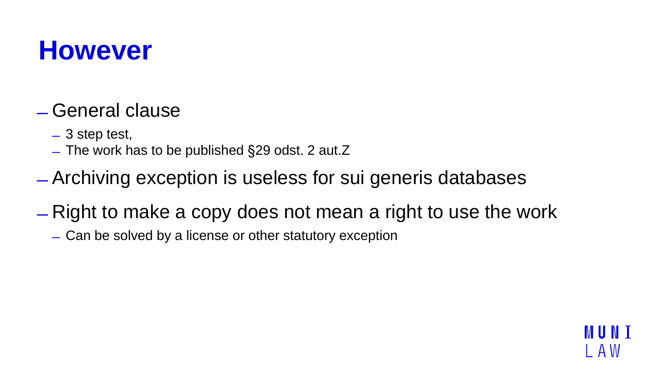### **However**

### ̶General clause

- ̶3 step test,
- ̶The work has to be published §29 odst. 2 aut.Z
- ̶Archiving exception is useless for sui generis databases
- ̶Right to make a copy does not mean a right to use the work

A W

̶Can be solved by a license or other statutory exception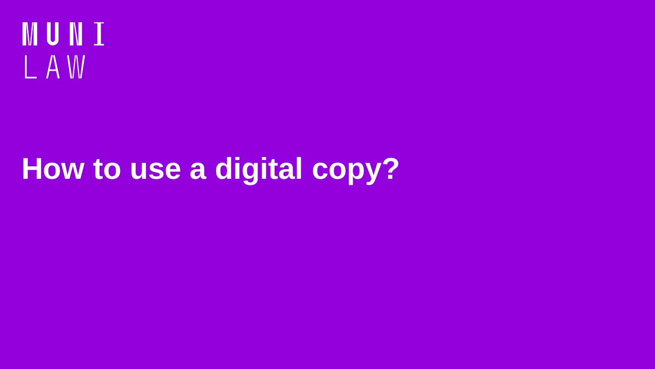

# **How to use a digital copy?**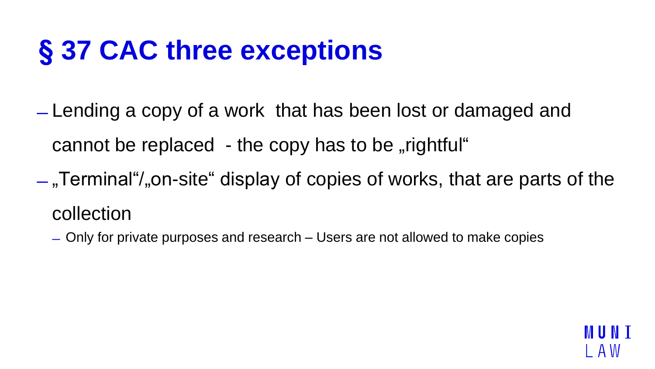## **§ 37 CAC three exceptions**

- ̶Lending a copy of a work that has been lost or damaged and cannot be replaced - the copy has to be "rightful"
- $-$ , Terminal  $/$ , on-site  $\ell$  display of copies of works, that are parts of the collection
	- ̶Only for private purposes and research Users are not allowed to make copies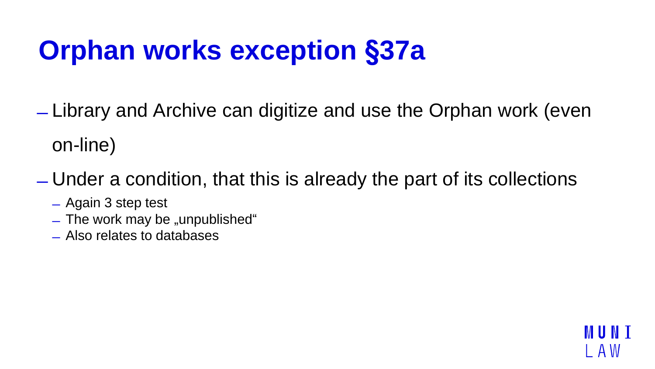## **Orphan works exception §37a**

- ̶Library and Archive can digitize and use the Orphan work (even on-line)
- ̶Under a condition, that this is already the part of its collections
	- ̶Again 3 step test
	- $-$  The work may be "unpublished"
	- ̶Also relates to databases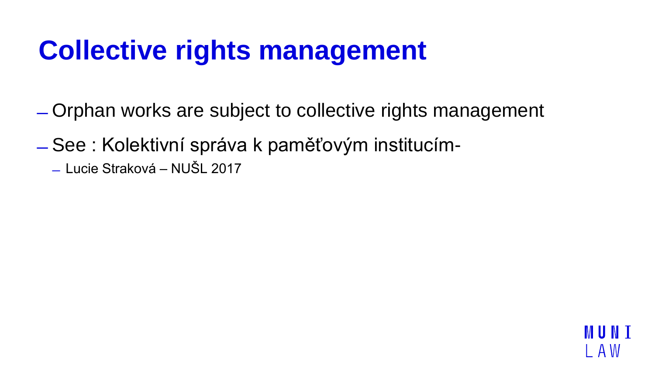## **Collective rights management**

- ̶Orphan works are subject to collective rights management
- ̶See : Kolektivní správa k paměťovým institucím-
	- ̶Lucie Straková NUŠL 2017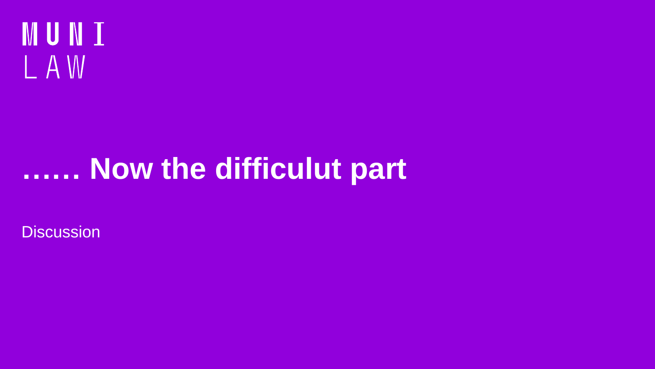

## **…… Now the difficulut part**

**Discussion**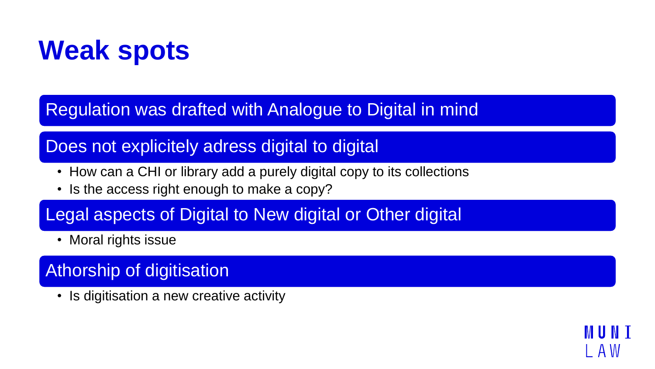## **Weak spots**

Regulation was drafted with Analogue to Digital in mind

### Does not explicitely adress digital to digital

• How can a CHI or library add a purely digital copy to its collections

IA W

• Is the access right enough to make a copy?

### Legal aspects of Digital to New digital or Other digital

• Moral rights issue

### Athorship of digitisation

• Is digitisation a new creative activity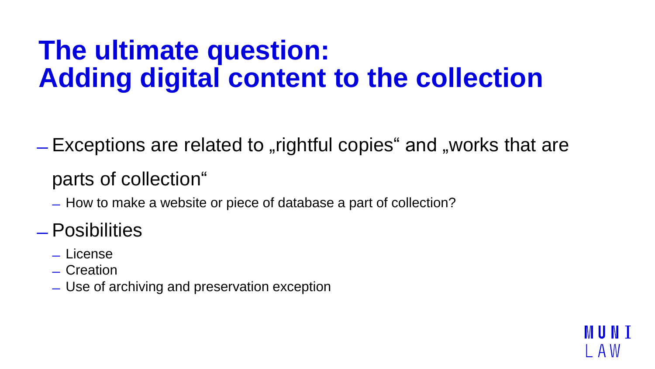## **The ultimate question: Adding digital content to the collection**

 $E$  Exceptions are related to "rightful copies" and "works that are

### parts of collection"

 $-$  How to make a website or piece of database a part of collection?

### ̶Posibilities

- ̶License
- ̶Creation
- ̶Use of archiving and preservation exception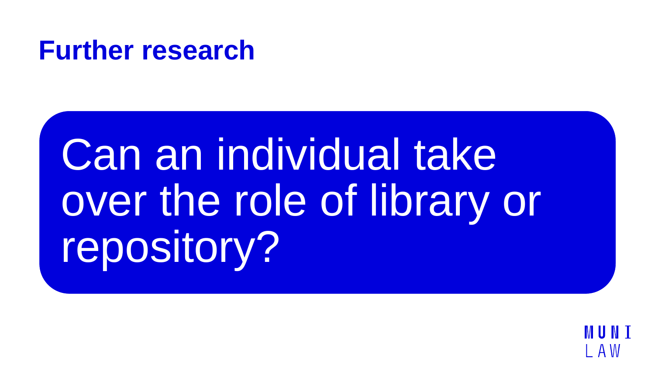### **Further research**

Can an individual take over the role of library or repository?